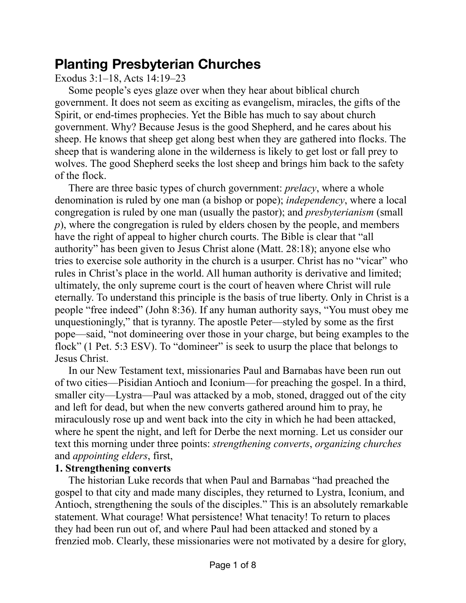## **Planting Presbyterian Churches**

Exodus 3:1–18, Acts 14:19–23

Some people's eyes glaze over when they hear about biblical church government. It does not seem as exciting as evangelism, miracles, the gifts of the Spirit, or end-times prophecies. Yet the Bible has much to say about church government. Why? Because Jesus is the good Shepherd, and he cares about his sheep. He knows that sheep get along best when they are gathered into flocks. The sheep that is wandering alone in the wilderness is likely to get lost or fall prey to wolves. The good Shepherd seeks the lost sheep and brings him back to the safety of the flock.

There are three basic types of church government: *prelacy*, where a whole denomination is ruled by one man (a bishop or pope); *independency*, where a local congregation is ruled by one man (usually the pastor); and *presbyterianism* (small *p*), where the congregation is ruled by elders chosen by the people, and members have the right of appeal to higher church courts. The Bible is clear that "all authority" has been given to Jesus Christ alone (Matt. 28:18); anyone else who tries to exercise sole authority in the church is a usurper. Christ has no "vicar" who rules in Christ's place in the world. All human authority is derivative and limited; ultimately, the only supreme court is the court of heaven where Christ will rule eternally. To understand this principle is the basis of true liberty. Only in Christ is a people "free indeed" (John 8:36). If any human authority says, "You must obey me unquestioningly," that is tyranny. The apostle Peter—styled by some as the first pope—said, "not domineering over those in your charge, but being examples to the flock" (1 Pet. 5:3 ESV). To "domineer" is seek to usurp the place that belongs to Jesus Christ.

In our New Testament text, missionaries Paul and Barnabas have been run out of two cities—Pisidian Antioch and Iconium—for preaching the gospel. In a third, smaller city—Lystra—Paul was attacked by a mob, stoned, dragged out of the city and left for dead, but when the new converts gathered around him to pray, he miraculously rose up and went back into the city in which he had been attacked, where he spent the night, and left for Derbe the next morning. Let us consider our text this morning under three points: *strengthening converts*, *organizing churches* and *appointing elders*, first,

## **1. Strengthening converts**

The historian Luke records that when Paul and Barnabas "had preached the gospel to that city and made many disciples, they returned to Lystra, Iconium, and Antioch, strengthening the souls of the disciples." This is an absolutely remarkable statement. What courage! What persistence! What tenacity! To return to places they had been run out of, and where Paul had been attacked and stoned by a frenzied mob. Clearly, these missionaries were not motivated by a desire for glory,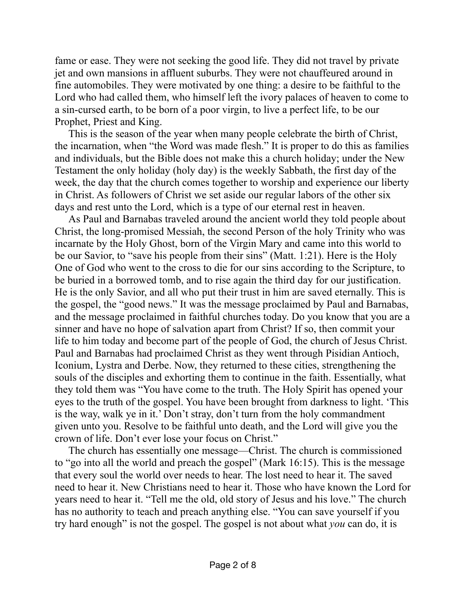fame or ease. They were not seeking the good life. They did not travel by private jet and own mansions in affluent suburbs. They were not chauffeured around in fine automobiles. They were motivated by one thing: a desire to be faithful to the Lord who had called them, who himself left the ivory palaces of heaven to come to a sin-cursed earth, to be born of a poor virgin, to live a perfect life, to be our Prophet, Priest and King.

This is the season of the year when many people celebrate the birth of Christ, the incarnation, when "the Word was made flesh." It is proper to do this as families and individuals, but the Bible does not make this a church holiday; under the New Testament the only holiday (holy day) is the weekly Sabbath, the first day of the week, the day that the church comes together to worship and experience our liberty in Christ. As followers of Christ we set aside our regular labors of the other six days and rest unto the Lord, which is a type of our eternal rest in heaven.

As Paul and Barnabas traveled around the ancient world they told people about Christ, the long-promised Messiah, the second Person of the holy Trinity who was incarnate by the Holy Ghost, born of the Virgin Mary and came into this world to be our Savior, to "save his people from their sins" (Matt. 1:21). Here is the Holy One of God who went to the cross to die for our sins according to the Scripture, to be buried in a borrowed tomb, and to rise again the third day for our justification. He is the only Savior, and all who put their trust in him are saved eternally. This is the gospel, the "good news." It was the message proclaimed by Paul and Barnabas, and the message proclaimed in faithful churches today. Do you know that you are a sinner and have no hope of salvation apart from Christ? If so, then commit your life to him today and become part of the people of God, the church of Jesus Christ. Paul and Barnabas had proclaimed Christ as they went through Pisidian Antioch, Iconium, Lystra and Derbe. Now, they returned to these cities, strengthening the souls of the disciples and exhorting them to continue in the faith. Essentially, what they told them was "You have come to the truth. The Holy Spirit has opened your eyes to the truth of the gospel. You have been brought from darkness to light. 'This is the way, walk ye in it.' Don't stray, don't turn from the holy commandment given unto you. Resolve to be faithful unto death, and the Lord will give you the crown of life. Don't ever lose your focus on Christ."

The church has essentially one message—Christ. The church is commissioned to "go into all the world and preach the gospel" (Mark 16:15). This is the message that every soul the world over needs to hear. The lost need to hear it. The saved need to hear it. New Christians need to hear it. Those who have known the Lord for years need to hear it. "Tell me the old, old story of Jesus and his love." The church has no authority to teach and preach anything else. "You can save yourself if you try hard enough" is not the gospel. The gospel is not about what *you* can do, it is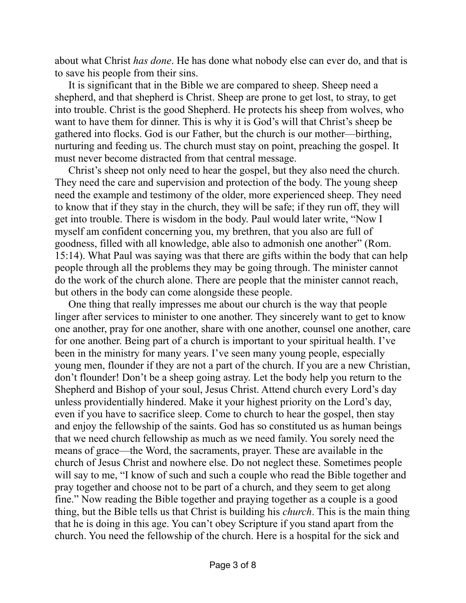about what Christ *has done*. He has done what nobody else can ever do, and that is to save his people from their sins.

It is significant that in the Bible we are compared to sheep. Sheep need a shepherd, and that shepherd is Christ. Sheep are prone to get lost, to stray, to get into trouble. Christ is the good Shepherd. He protects his sheep from wolves, who want to have them for dinner. This is why it is God's will that Christ's sheep be gathered into flocks. God is our Father, but the church is our mother—birthing, nurturing and feeding us. The church must stay on point, preaching the gospel. It must never become distracted from that central message.

Christ's sheep not only need to hear the gospel, but they also need the church. They need the care and supervision and protection of the body. The young sheep need the example and testimony of the older, more experienced sheep. They need to know that if they stay in the church, they will be safe; if they run off, they will get into trouble. There is wisdom in the body. Paul would later write, "Now I myself am confident concerning you, my brethren, that you also are full of goodness, filled with all knowledge, able also to admonish one another" (Rom. 15:14). What Paul was saying was that there are gifts within the body that can help people through all the problems they may be going through. The minister cannot do the work of the church alone. There are people that the minister cannot reach, but others in the body can come alongside these people.

One thing that really impresses me about our church is the way that people linger after services to minister to one another. They sincerely want to get to know one another, pray for one another, share with one another, counsel one another, care for one another. Being part of a church is important to your spiritual health. I've been in the ministry for many years. I've seen many young people, especially young men, flounder if they are not a part of the church. If you are a new Christian, don't flounder! Don't be a sheep going astray. Let the body help you return to the Shepherd and Bishop of your soul, Jesus Christ. Attend church every Lord's day unless providentially hindered. Make it your highest priority on the Lord's day, even if you have to sacrifice sleep. Come to church to hear the gospel, then stay and enjoy the fellowship of the saints. God has so constituted us as human beings that we need church fellowship as much as we need family. You sorely need the means of grace—the Word, the sacraments, prayer. These are available in the church of Jesus Christ and nowhere else. Do not neglect these. Sometimes people will say to me, "I know of such and such a couple who read the Bible together and pray together and choose not to be part of a church, and they seem to get along fine." Now reading the Bible together and praying together as a couple is a good thing, but the Bible tells us that Christ is building his *church*. This is the main thing that he is doing in this age. You can't obey Scripture if you stand apart from the church. You need the fellowship of the church. Here is a hospital for the sick and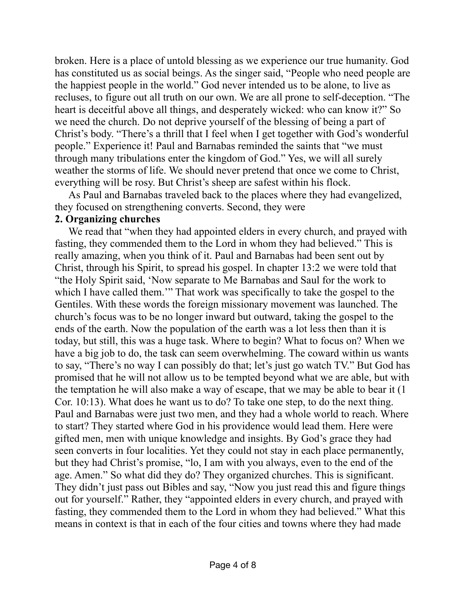broken. Here is a place of untold blessing as we experience our true humanity. God has constituted us as social beings. As the singer said, "People who need people are the happiest people in the world." God never intended us to be alone, to live as recluses, to figure out all truth on our own. We are all prone to self-deception. "The heart is deceitful above all things, and desperately wicked: who can know it?" So we need the church. Do not deprive yourself of the blessing of being a part of Christ's body. "There's a thrill that I feel when I get together with God's wonderful people." Experience it! Paul and Barnabas reminded the saints that "we must through many tribulations enter the kingdom of God." Yes, we will all surely weather the storms of life. We should never pretend that once we come to Christ, everything will be rosy. But Christ's sheep are safest within his flock.

As Paul and Barnabas traveled back to the places where they had evangelized, they focused on strengthening converts. Second, they were

## **2. Organizing churches**

We read that "when they had appointed elders in every church, and prayed with fasting, they commended them to the Lord in whom they had believed." This is really amazing, when you think of it. Paul and Barnabas had been sent out by Christ, through his Spirit, to spread his gospel. In chapter 13:2 we were told that "the Holy Spirit said, 'Now separate to Me Barnabas and Saul for the work to which I have called them.'" That work was specifically to take the gospel to the Gentiles. With these words the foreign missionary movement was launched. The church's focus was to be no longer inward but outward, taking the gospel to the ends of the earth. Now the population of the earth was a lot less then than it is today, but still, this was a huge task. Where to begin? What to focus on? When we have a big job to do, the task can seem overwhelming. The coward within us wants to say, "There's no way I can possibly do that; let's just go watch TV." But God has promised that he will not allow us to be tempted beyond what we are able, but with the temptation he will also make a way of escape, that we may be able to bear it (1 Cor. 10:13). What does he want us to do? To take one step, to do the next thing. Paul and Barnabas were just two men, and they had a whole world to reach. Where to start? They started where God in his providence would lead them. Here were gifted men, men with unique knowledge and insights. By God's grace they had seen converts in four localities. Yet they could not stay in each place permanently, but they had Christ's promise, "lo, I am with you always, even to the end of the age. Amen." So what did they do? They organized churches. This is significant. They didn't just pass out Bibles and say, "Now you just read this and figure things out for yourself." Rather, they "appointed elders in every church, and prayed with fasting, they commended them to the Lord in whom they had believed." What this means in context is that in each of the four cities and towns where they had made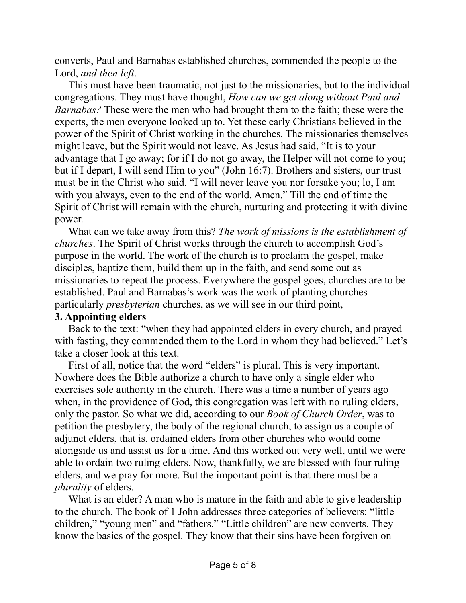converts, Paul and Barnabas established churches, commended the people to the Lord, *and then left*.

This must have been traumatic, not just to the missionaries, but to the individual congregations. They must have thought, *How can we get along without Paul and Barnabas?* These were the men who had brought them to the faith; these were the experts, the men everyone looked up to. Yet these early Christians believed in the power of the Spirit of Christ working in the churches. The missionaries themselves might leave, but the Spirit would not leave. As Jesus had said, "It is to your advantage that I go away; for if I do not go away, the Helper will not come to you; but if I depart, I will send Him to you" (John 16:7). Brothers and sisters, our trust must be in the Christ who said, "I will never leave you nor forsake you; lo, I am with you always, even to the end of the world. Amen." Till the end of time the Spirit of Christ will remain with the church, nurturing and protecting it with divine power.

What can we take away from this? *The work of missions is the establishment of churches*. The Spirit of Christ works through the church to accomplish God's purpose in the world. The work of the church is to proclaim the gospel, make disciples, baptize them, build them up in the faith, and send some out as missionaries to repeat the process. Everywhere the gospel goes, churches are to be established. Paul and Barnabas's work was the work of planting churches particularly *presbyterian* churches, as we will see in our third point,

## **3. Appointing elders**

Back to the text: "when they had appointed elders in every church, and prayed with fasting, they commended them to the Lord in whom they had believed." Let's take a closer look at this text.

First of all, notice that the word "elders" is plural. This is very important. Nowhere does the Bible authorize a church to have only a single elder who exercises sole authority in the church. There was a time a number of years ago when, in the providence of God, this congregation was left with no ruling elders, only the pastor. So what we did, according to our *Book of Church Order*, was to petition the presbytery, the body of the regional church, to assign us a couple of adjunct elders, that is, ordained elders from other churches who would come alongside us and assist us for a time. And this worked out very well, until we were able to ordain two ruling elders. Now, thankfully, we are blessed with four ruling elders, and we pray for more. But the important point is that there must be a *plurality* of elders.

What is an elder? A man who is mature in the faith and able to give leadership to the church. The book of 1 John addresses three categories of believers: "little children," "young men" and "fathers." "Little children" are new converts. They know the basics of the gospel. They know that their sins have been forgiven on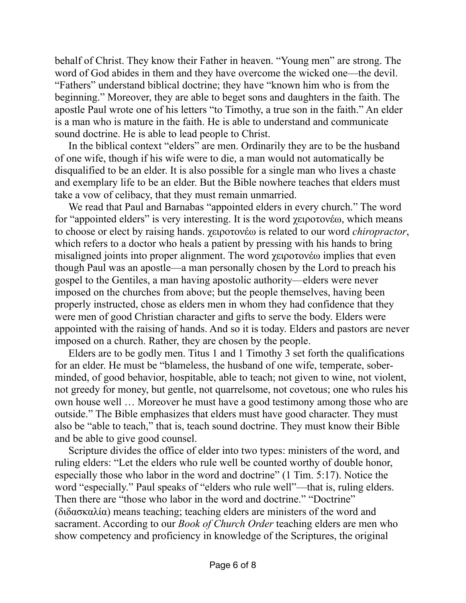behalf of Christ. They know their Father in heaven. "Young men" are strong. The word of God abides in them and they have overcome the wicked one—the devil. "Fathers" understand biblical doctrine; they have "known him who is from the beginning." Moreover, they are able to beget sons and daughters in the faith. The apostle Paul wrote one of his letters "to Timothy, a true son in the faith." An elder is a man who is mature in the faith. He is able to understand and communicate sound doctrine. He is able to lead people to Christ.

In the biblical context "elders" are men. Ordinarily they are to be the husband of one wife, though if his wife were to die, a man would not automatically be disqualified to be an elder. It is also possible for a single man who lives a chaste and exemplary life to be an elder. But the Bible nowhere teaches that elders must take a vow of celibacy, that they must remain unmarried.

We read that Paul and Barnabas "appointed elders in every church." The word for "appointed elders" is very interesting. It is the word χειροτονέω, which means to choose or elect by raising hands. χειροτονέω is related to our word *chiropractor*, which refers to a doctor who heals a patient by pressing with his hands to bring misaligned joints into proper alignment. The word χειροτονέω implies that even though Paul was an apostle—a man personally chosen by the Lord to preach his gospel to the Gentiles, a man having apostolic authority—elders were never imposed on the churches from above; but the people themselves, having been properly instructed, chose as elders men in whom they had confidence that they were men of good Christian character and gifts to serve the body. Elders were appointed with the raising of hands. And so it is today. Elders and pastors are never imposed on a church. Rather, they are chosen by the people.

Elders are to be godly men. Titus 1 and 1 Timothy 3 set forth the qualifications for an elder. He must be "blameless, the husband of one wife, temperate, soberminded, of good behavior, hospitable, able to teach; not given to wine, not violent, not greedy for money, but gentle, not quarrelsome, not covetous; one who rules his own house well … Moreover he must have a good testimony among those who are outside." The Bible emphasizes that elders must have good character. They must also be "able to teach," that is, teach sound doctrine. They must know their Bible and be able to give good counsel.

Scripture divides the office of elder into two types: ministers of the word, and ruling elders: "Let the elders who rule well be counted worthy of double honor, especially those who labor in the word and doctrine" (1 Tim. 5:17). Notice the word "especially." Paul speaks of "elders who rule well"—that is, ruling elders. Then there are "those who labor in the word and doctrine." "Doctrine" (διδασκαλία) means teaching; teaching elders are ministers of the word and sacrament. According to our *Book of Church Order* teaching elders are men who show competency and proficiency in knowledge of the Scriptures, the original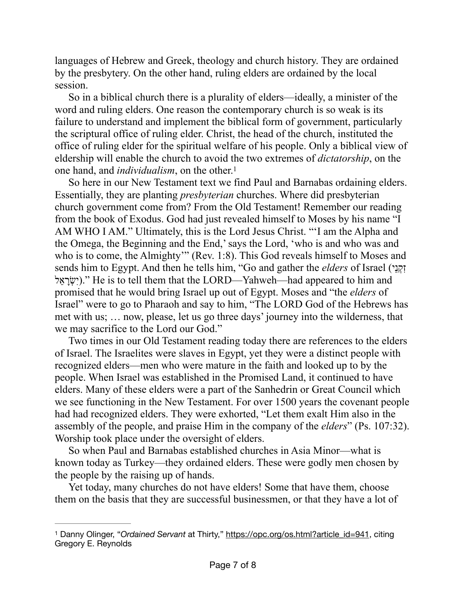languages of Hebrew and Greek, theology and church history. They are ordained by the presbytery. On the other hand, ruling elders are ordained by the local session.

So in a biblical church there is a plurality of elders—ideally, a minister of the word and ruling elders. One reason the contemporary church is so weak is its failure to understand and implement the biblical form of government, particularly the scriptural office of ruling elder. Christ, the head of the church, instituted the office of ruling elder for the spiritual welfare of his people. Only a biblical view of eldership will enable the church to avoid the two extremes of *dictatorship*, on the one hand, and *individualism*, on the other[.1](#page-6-0)

<span id="page-6-1"></span>So here in our New Testament text we find Paul and Barnabas ordaining elders. Essentially, they are planting *presbyterian* churches. Where did presbyterian church government come from? From the Old Testament! Remember our reading from the book of Exodus. God had just revealed himself to Moses by his name "I AM WHO I AM." Ultimately, this is the Lord Jesus Christ. "'I am the Alpha and the Omega, the Beginning and the End,' says the Lord, 'who is and who was and who is to come, the Almighty'" (Rev. 1:8). This God reveals himself to Moses and sends him to Egypt. And then he tells him, "Go and gather the *elders* of Israel (יְקָנֵי) ל ֵא ָרְשִׂי(. "He is to tell them that the LORD—Yahweh—had appeared to him and promised that he would bring Israel up out of Egypt. Moses and "the *elders* of Israel" were to go to Pharaoh and say to him, "The LORD God of the Hebrews has met with us; … now, please, let us go three days' journey into the wilderness, that we may sacrifice to the Lord our God."

Two times in our Old Testament reading today there are references to the elders of Israel. The Israelites were slaves in Egypt, yet they were a distinct people with recognized elders—men who were mature in the faith and looked up to by the people. When Israel was established in the Promised Land, it continued to have elders. Many of these elders were a part of the Sanhedrin or Great Council which we see functioning in the New Testament. For over 1500 years the covenant people had had recognized elders. They were exhorted, "Let them exalt Him also in the assembly of the people, and praise Him in the company of the *elders*" (Ps. 107:32). Worship took place under the oversight of elders.

So when Paul and Barnabas established churches in Asia Minor—what is known today as Turkey—they ordained elders. These were godly men chosen by the people by the raising up of hands.

Yet today, many churches do not have elders! Some that have them, choose them on the basis that they are successful businessmen, or that they have a lot of

<span id="page-6-0"></span><sup>&</sup>lt;sup>1</sup> Danny Olinger, "Ordained Servant at Thirty," [https://opc.org/os.html?article\\_id=941](https://opc.org/os.html?article_id=941), citing Gregory E. Reynolds